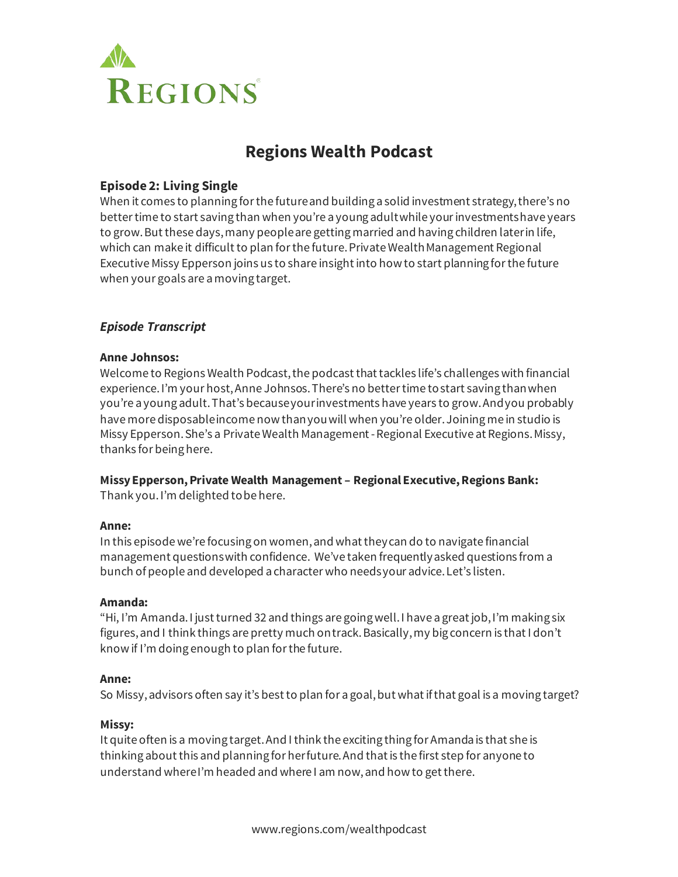

# **Regions Wealth Podcast**

# **Episode 2: Living Single**

When it comes to planning for the future and building a solid investment strategy, there's no better time to start saving than when you're a young adult while your investments have years to grow. But these days, many people are getting married and having children later in life, which can make it difficult to plan for the future. Private Wealth Management Regional Executive Missy Epperson joins us to share insight into how to start planning for the future when your goals are a moving target.

# *Episode Transcript*

## **Anne Johnsos:**

Welcome to Regions Wealth Podcast, the podcast that tackles life's challenges with financial experience.I'm your host, Anne Johnsos. There's no better time to start saving than when you're a young adult. That's because your investments have years to grow. And you probably have more disposable income now than you will when you're older. Joining me in studio is Missy Epperson. She's a Private Wealth Management-Regional Executive at Regions. Missy, thanks for being here.

# **MissyEpperson, Private Wealth Management – Regional Executive, Regions Bank:**

Thank you. I'm delighted to be here.

# **Anne:**

In this episode we're focusing on women, and what they can do to navigate financial management questions with confidence. We've taken frequently asked questions from a bunch of people and developed a character who needs your advice. Let's listen.

# **Amanda:**

"Hi, I'm Amanda. I just turned 32 and things are going well. I have a great job, I'm making six figures, and I think things are pretty much on track. Basically,my big concern is that I don't know if I'm doing enough to plan for the future.

#### **Anne:**

So Missy, advisors often say it's best to plan for a goal, but what if that goal is a moving target?

#### **Missy:**

It quite often is a moving target. And I think the exciting thing for Amanda is that she is thinking about this and planning for her future. And that is the first step for anyone to understand where I'm headed and where I am now, and how to get there.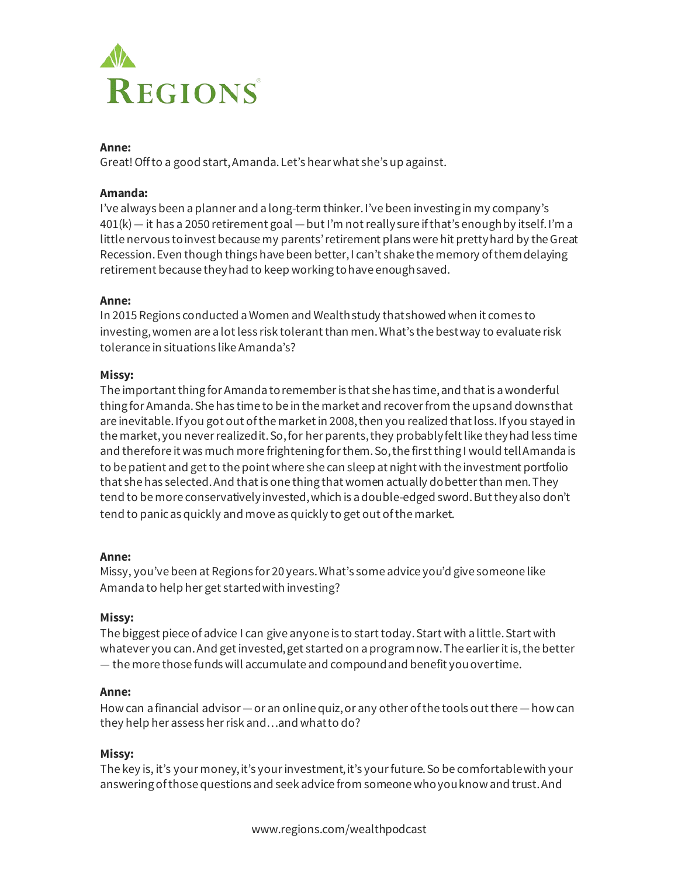

# **Anne:**

Great! Off to a good start, Amanda. Let's hear what she's up against.

#### **Amanda:**

I've always been a planner and a long-term thinker. I've been investing in my company's 401(k)— it has a 2050 retirement goal —but I'm not really sure if that's enough by itself. I'm a little nervous to invest because my parents' retirement plans were hit pretty hard by the Great Recession. Even though things have been better, I can't shake the memory of them delaying retirement because they had to keep working to have enough saved.

## **Anne:**

In 2015 Regions conducted a Women and Wealth study that showed when it comes to investing,women are a lot less risk tolerant than men. What's the best way to evaluate risk tolerance in situations like Amanda's?

## **Missy:**

The important thing for Amanda to remember is that she has time, and that is a wonderful thing for Amanda. She has time to be in the market and recover from the ups and downs that are inevitable. If you got out of the market in 2008, then you realized thatloss. If you stayed in the market, you never realized it. So, for her parents, they probably felt like they had less time and therefore it was much more frightening for them. So,the first thing I would tell Amanda is to be patient and get to the point where she can sleep at night with the investment portfolio that she has selected.And that is one thing that women actually do better than men. They tend to be more conservatively invested, which is a double-edged sword. But they also don't tend to panic as quickly and move as quickly to get out of the market.

#### **Anne:**

Missy, you've been at Regions for 20 years. What's some advice you'd give someone like Amanda to help her get started with investing?

# **Missy:**

The biggest piece of advice I can give anyone is to start today. Start with a little. Start with whatever you can. And get invested, get started on a program now. The earlier it is, the better — the more those funds will accumulate and compound and benefit you over time.

# **Anne:**

How can a financial advisor —or an online quiz, or any other of the tools out there —how can they help her assess her risk and…and what to do?

#### **Missy:**

The key is, it's your money, it's your investment, it's your future. So be comfortable with your answering of those questions and seek advice from someone who you know and trust. And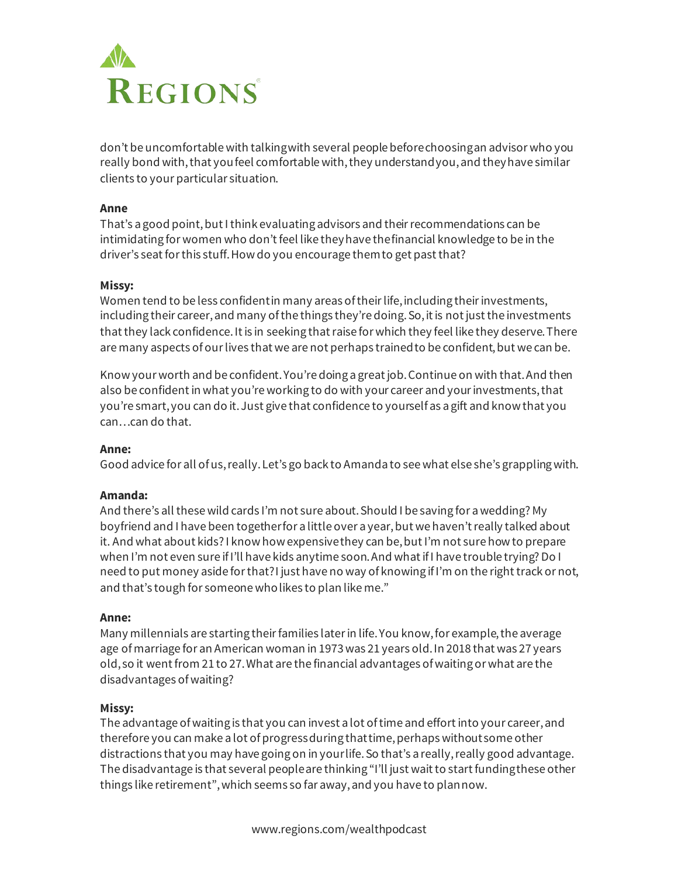

don't be uncomfortable with talking with several people before choosing an advisor who you really bond with, that you feel comfortable with, they understand you, and they have similar clients to your particular situation.

### **Anne**

That's a good point, but I think evaluating advisors and their recommendations can be intimidating for women who don't feel like they have the financial knowledge to be in the driver's seat for this stuff. How do you encourage them to get past that?

#### **Missy:**

Women tend to be less confident in many areas of their life, including their investments, including their career, and many of the things they're doing. So, it is not just the investments that they lack confidence. It is in seeking that raise for which they feel like they deserve. There are many aspects of our lives that we are not perhaps trained to be confident, but we can be.

Know your worth and be confident. You're doing a great job. Continue on with that. And then also be confident in what you're working to do with your career and your investments, that you're smart, you can do it. Just give that confidence to yourself as a gift and know that you can…can do that.

#### **Anne:**

Good advice for all of us, really. Let's go back to Amanda to see what else she's grappling with.

#### **Amanda:**

And there's all these wild cards I'm not sure about. Should I be saving for a wedding? My boyfriend and I have been together for a little over a year,but we haven't really talked about it. And what about kids? I know how expensive they can be, but I'm not sure how to prepare when I'm not even sure if I'll have kids anytime soon. And what if I have trouble trying? Do I need to put money aside for that? I just have no way of knowing if I'm on the right track or not, and that's tough for someone who likes to plan like me."

#### **Anne:**

Many millennials are starting their families later in life. You know, for example, the average age of marriage for an American woman in 1973 was 21 years old. In 2018 that was 27 years old, so it went from 21 to 27. What are the financial advantages of waiting or what are the disadvantages of waiting?

#### **Missy:**

The advantage of waiting is that you can invest a lot of time and effort into your career, and therefore you can make a lot of progress during that time, perhaps without some other distractions that you may have going on in your life. So that's a really, really good advantage. The disadvantage is that several people are thinking "I'll just wait to start funding these other things like retirement", which seems so far away, and you have to plan now.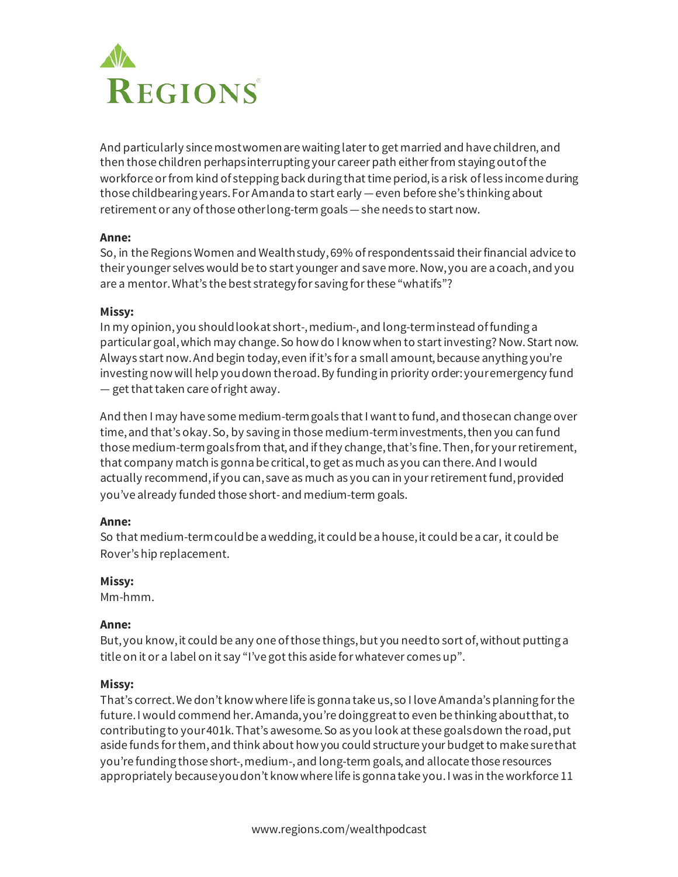

And particularly since most women are waiting later to get married and have children, and then those children perhaps interrupting your career path either from staying out of the workforce or from kind of stepping back during that time period, is a risk of less income during those childbearing years. For Amanda to start early —even before she's thinking about retirement or any of those other long-term goals - she needs to start now.

## **Anne:**

So, in the Regions Women and Wealth study, 69% of respondents said their financial advice to their younger selves would be to start younger and save more. Now,you are a coach, and you are a mentor. What's the best strategy for saving for these "what ifs"?

#### **Missy:**

In my opinion, you should look at short-, medium-, and long-term instead of funding a particular goal, which may change. So how do I know when to start investing? Now. Start now. Always start now. And begin today, even if it's for a small amount, because anything you're investing now will help you down the road. By funding in priority order: your emergency fund — get that taken care of right away.

And then I may have some medium-term goals that I want to fund, and those can change over time, and that's okay. So, by saving in those medium-term investments, then you can fund those medium-term goals from that, and if they change, that's fine. Then,for your retirement, that company match is gonna be critical, to get as much as you can there. And I would actually recommend, if you can, save as much as you can in your retirement fund, provided you've already funded those short-and medium-term goals.

# **Anne:**

So that medium-term could be a wedding, it could be a house, it could be a car, it could be Rover's hip replacement.

# **Missy:**

Mm-hmm.

# **Anne:**

But, you know, it could be any one of those things, but you need to sort of, without putting a title on it or a label on it say "I've got this aside for whatever comes up".

# **Missy:**

That's correct.We don't know where life is gonna take us, so I love Amanda's planning for the future. I would commend her. Amanda, you're doing great to even be thinking about that, to contributing to your 401k. That's awesome. So as you look at these goals down the road, put aside funds for them, and think about how you could structure your budget to make sure that you're funding those short-, medium-, and long-term goals, and allocate those resources appropriately because you don't know where life is gonna take you. I was in the workforce 11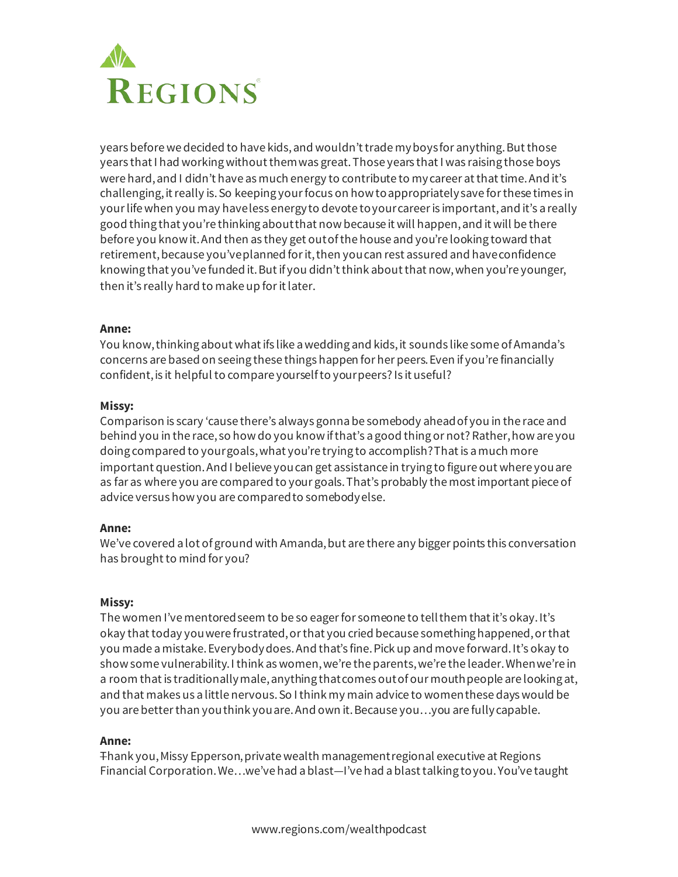

years before we decided to have kids, and wouldn't trade my boys for anything. But those years that I had working without them was great. Those years that I was raising those boys were hard, and I didn't have as much energy to contribute to my career at that time. And it's challenging, it really is. So keeping your focus on how to appropriately save for these times in your life when you may have less energy to devote to your career is important, and it's a really good thing that you're thinking about that now because it will happen, and it will be there before you know it. And then as they get out of the house and you're looking toward that retirement, because you've planned for it, then you can rest assured and have confidence knowing that you've funded it. But if you didn't think about that now, when you're younger, then it's really hard to make up for it later.

## **Anne:**

You know, thinking about what ifs like a wedding and kids, it sounds like some of Amanda's concerns are based on seeing these things happen for her peers. Even if you're financially confident, is it helpful to compare yourself to your peers? Is it useful?

#### **Missy:**

Comparison is scary 'cause there's always gonnabe somebody ahead of you in the race and behind you in the race, so how do you know if that's a good thing or not? Rather, how are you doing compared to your goals, what you're trying to accomplish? That is a much more important question. And I believe you can get assistance in trying to figure out where you are as far as where you are compared to your goals. That's probably the most important piece of advice versus how you are compared to somebody else.

#### **Anne:**

We've covered a lot of ground with Amanda, but are there any bigger points this conversation has brought to mind for you?

#### **Missy:**

The women I've mentored seem to be so eager for someone to tell them that it's okay. It's okay that today you were frustrated, or that you cried because something happened, or that you made a mistake. Everybody does. And that's fine. Pick up and move forward. It's okay to show some vulnerability. I think as women, we're the parents, we're the leader. When we're in a room that is traditionally male, anything that comes out of our mouth people are looking at, and that makes us a little nervous. So I think my main advice to women these days would be you are better than you think you are. And own it. Because you…you are fully capable.

#### **Anne:**

Thank you, Missy Epperson, private wealth management regional executive at Regions Financial Corporation. We…we've had a blast—I've had a blast talking to you. You've taught